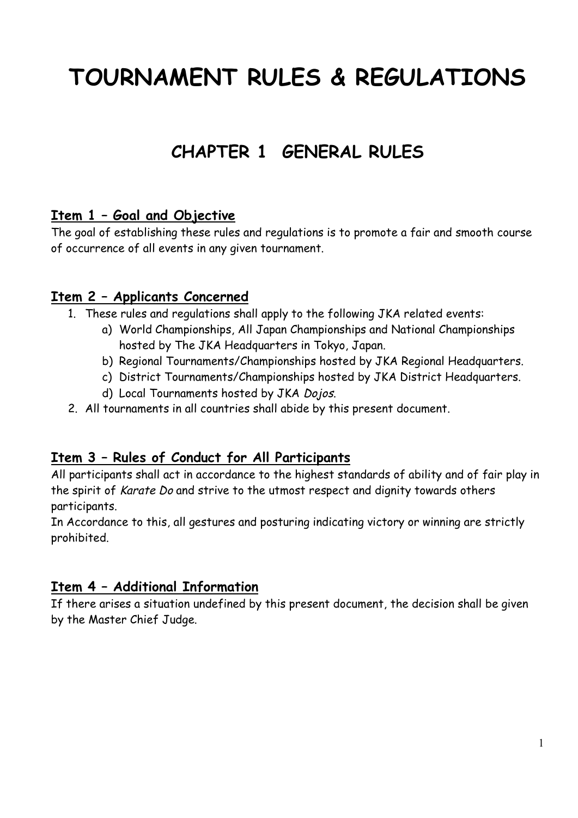# **TOURNAMENT RULES & REGULATIONS**

## **CHAPTER 1 GENERAL RULES**

#### **Item 1 – Goal and Objective**

The goal of establishing these rules and regulations is to promote a fair and smooth course of occurrence of all events in any given tournament.

#### **Item 2 – Applicants Concerned**

- 1. These rules and regulations shall apply to the following JKA related events:
	- a) World Championships, All Japan Championships and National Championships hosted by The JKA Headquarters in Tokyo, Japan.
	- b) Regional Tournaments/Championships hosted by JKA Regional Headquarters.
	- c) District Tournaments/Championships hosted by JKA District Headquarters.
	- d) Local Tournaments hosted by JKA Dojos.
- 2. All tournaments in all countries shall abide by this present document.

#### **Item 3 – Rules of Conduct for All Participants**

All participants shall act in accordance to the highest standards of ability and of fair play in the spirit of Karate Do and strive to the utmost respect and dignity towards others participants.

In Accordance to this, all gestures and posturing indicating victory or winning are strictly prohibited.

#### **Item 4 – Additional Information**

If there arises a situation undefined by this present document, the decision shall be given by the Master Chief Judge.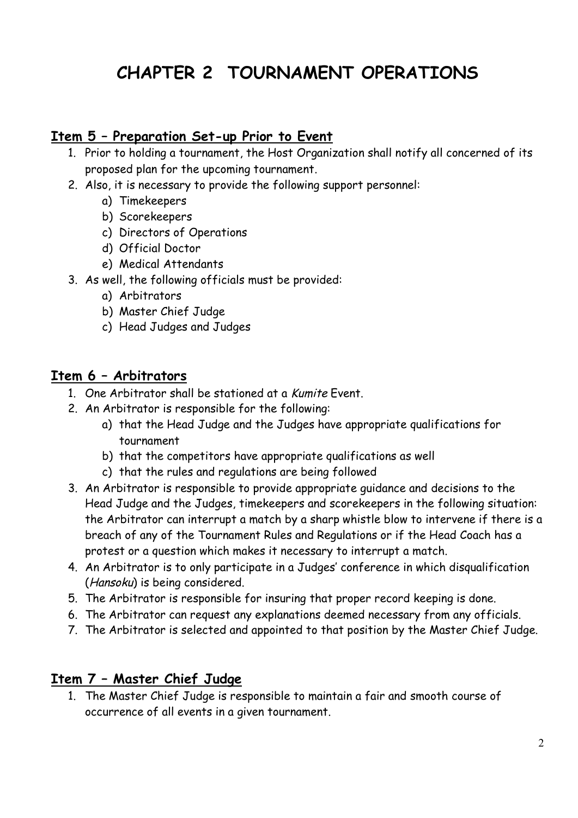## **CHAPTER 2 TOURNAMENT OPERATIONS**

#### **Item 5 – Preparation Set-up Prior to Event**

- 1. Prior to holding a tournament, the Host Organization shall notify all concerned of its proposed plan for the upcoming tournament.
- 2. Also, it is necessary to provide the following support personnel:
	- a) Timekeepers
		- b) Scorekeepers
		- c) Directors of Operations
		- d) Official Doctor
		- e) Medical Attendants
- 3. As well, the following officials must be provided:
	- a) Arbitrators
	- b) Master Chief Judge
	- c) Head Judges and Judges

#### **Item 6 – Arbitrators**

- 1. One Arbitrator shall be stationed at a Kumite Event.
- 2. An Arbitrator is responsible for the following:
	- a) that the Head Judge and the Judges have appropriate qualifications for tournament
	- b) that the competitors have appropriate qualifications as well
	- c) that the rules and regulations are being followed
- 3. An Arbitrator is responsible to provide appropriate guidance and decisions to the Head Judge and the Judges, timekeepers and scorekeepers in the following situation: the Arbitrator can interrupt a match by a sharp whistle blow to intervene if there is a breach of any of the Tournament Rules and Regulations or if the Head Coach has a protest or a question which makes it necessary to interrupt a match.
- 4. An Arbitrator is to only participate in a Judges' conference in which disqualification (Hansoku) is being considered.
- 5. The Arbitrator is responsible for insuring that proper record keeping is done.
- 6. The Arbitrator can request any explanations deemed necessary from any officials.
- 7. The Arbitrator is selected and appointed to that position by the Master Chief Judge.

#### **Item 7 – Master Chief Judge**

1. The Master Chief Judge is responsible to maintain a fair and smooth course of occurrence of all events in a given tournament.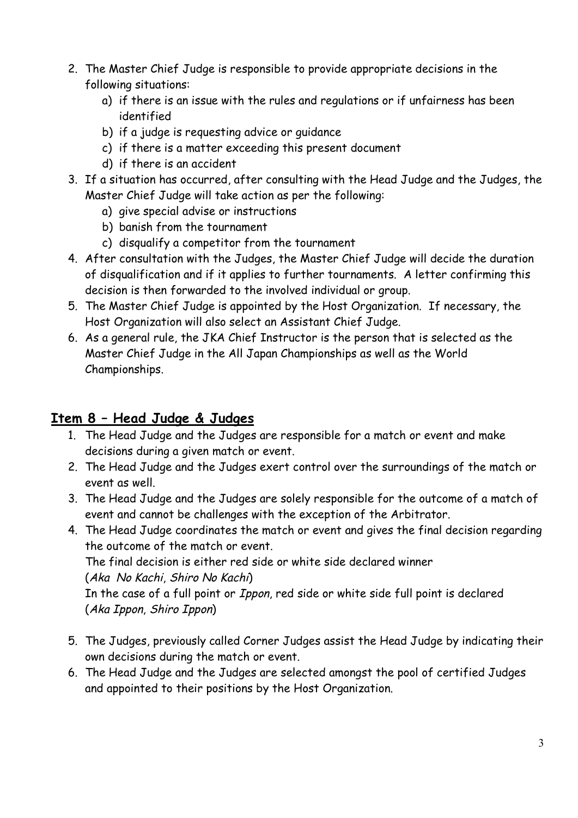- 2. The Master Chief Judge is responsible to provide appropriate decisions in the following situations:
	- a) if there is an issue with the rules and regulations or if unfairness has been identified
	- b) if a judge is requesting advice or guidance
	- c) if there is a matter exceeding this present document
	- d) if there is an accident
- 3. If a situation has occurred, after consulting with the Head Judge and the Judges, the Master Chief Judge will take action as per the following:
	- a) give special advise or instructions
	- b) banish from the tournament
	- c) disqualify a competitor from the tournament
- 4. After consultation with the Judges, the Master Chief Judge will decide the duration of disqualification and if it applies to further tournaments. A letter confirming this decision is then forwarded to the involved individual or group.
- 5. The Master Chief Judge is appointed by the Host Organization. If necessary, the Host Organization will also select an Assistant Chief Judge.
- 6. As a general rule, the JKA Chief Instructor is the person that is selected as the Master Chief Judge in the All Japan Championships as well as the World Championships.

#### **Item 8 – Head Judge & Judges**

- 1. The Head Judge and the Judges are responsible for a match or event and make decisions during a given match or event.
- 2. The Head Judge and the Judges exert control over the surroundings of the match or event as well.
- 3. The Head Judge and the Judges are solely responsible for the outcome of a match of event and cannot be challenges with the exception of the Arbitrator.
- 4. The Head Judge coordinates the match or event and gives the final decision regarding the outcome of the match or event. The final decision is either red side or white side declared winner (Aka No Kachi, Shiro No Kachi) In the case of a full point or Ippon, red side or white side full point is declared (Aka Ippon, Shiro Ippon)
- 5. The Judges, previously called Corner Judges assist the Head Judge by indicating their own decisions during the match or event.
- 6. The Head Judge and the Judges are selected amongst the pool of certified Judges and appointed to their positions by the Host Organization.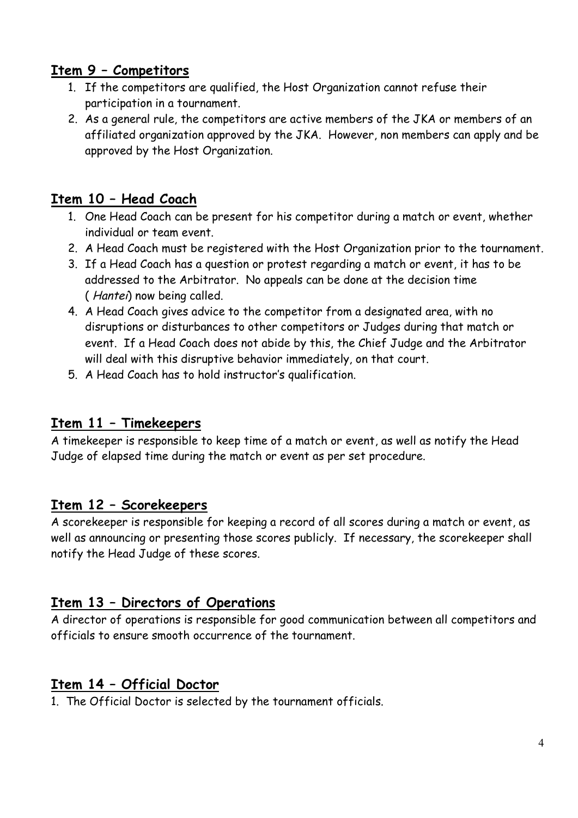#### **Item 9 – Competitors**

- 1. If the competitors are qualified, the Host Organization cannot refuse their participation in a tournament.
- 2. As a general rule, the competitors are active members of the JKA or members of an affiliated organization approved by the JKA. However, non members can apply and be approved by the Host Organization.

#### **Item 10 – Head Coach**

- 1. One Head Coach can be present for his competitor during a match or event, whether individual or team event.
- 2. A Head Coach must be registered with the Host Organization prior to the tournament.
- 3. If a Head Coach has a question or protest regarding a match or event, it has to be addressed to the Arbitrator. No appeals can be done at the decision time ( Hantei) now being called.
- 4. A Head Coach gives advice to the competitor from a designated area, with no disruptions or disturbances to other competitors or Judges during that match or event. If a Head Coach does not abide by this, the Chief Judge and the Arbitrator will deal with this disruptive behavior immediately, on that court.
- 5. A Head Coach has to hold instructor's qualification.

#### **Item 11 – Timekeepers**

A timekeeper is responsible to keep time of a match or event, as well as notify the Head Judge of elapsed time during the match or event as per set procedure.

#### **Item 12 – Scorekeepers**

A scorekeeper is responsible for keeping a record of all scores during a match or event, as well as announcing or presenting those scores publicly. If necessary, the scorekeeper shall notify the Head Judge of these scores.

#### **Item 13 – Directors of Operations**

A director of operations is responsible for good communication between all competitors and officials to ensure smooth occurrence of the tournament.

#### **Item 14 – Official Doctor**

1. The Official Doctor is selected by the tournament officials.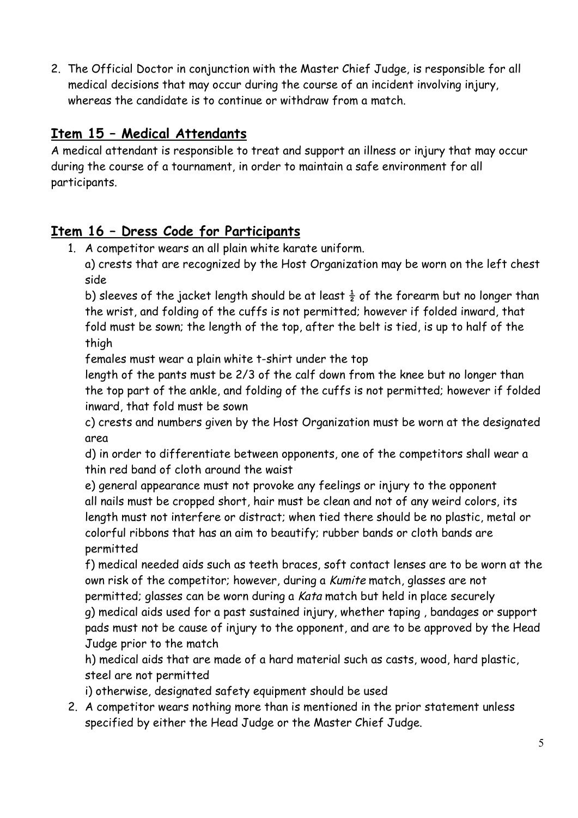2. The Official Doctor in conjunction with the Master Chief Judge, is responsible for all medical decisions that may occur during the course of an incident involving injury, whereas the candidate is to continue or withdraw from a match.

#### **Item 15 – Medical Attendants**

A medical attendant is responsible to treat and support an illness or injury that may occur during the course of a tournament, in order to maintain a safe environment for all participants.

#### **Item 16 – Dress Code for Participants**

1. A competitor wears an all plain white karate uniform.

a) crests that are recognized by the Host Organization may be worn on the left chest side

b) sleeves of the jacket length should be at least  $\frac{1}{2}$  of the forearm but no longer than the wrist, and folding of the cuffs is not permitted; however if folded inward, that fold must be sown; the length of the top, after the belt is tied, is up to half of the thigh

females must wear a plain white t-shirt under the top

length of the pants must be 2/3 of the calf down from the knee but no longer than the top part of the ankle, and folding of the cuffs is not permitted; however if folded inward, that fold must be sown

c) crests and numbers given by the Host Organization must be worn at the designated area

d) in order to differentiate between opponents, one of the competitors shall wear a thin red band of cloth around the waist

e) general appearance must not provoke any feelings or injury to the opponent all nails must be cropped short, hair must be clean and not of any weird colors, its length must not interfere or distract; when tied there should be no plastic, metal or colorful ribbons that has an aim to beautify; rubber bands or cloth bands are permitted

f) medical needed aids such as teeth braces, soft contact lenses are to be worn at the own risk of the competitor; however, during a Kumite match, glasses are not permitted; glasses can be worn during a Kata match but held in place securely g) medical aids used for a past sustained injury, whether taping , bandages or support pads must not be cause of injury to the opponent, and are to be approved by the Head Judge prior to the match

h) medical aids that are made of a hard material such as casts, wood, hard plastic, steel are not permitted

i) otherwise, designated safety equipment should be used

2. A competitor wears nothing more than is mentioned in the prior statement unless specified by either the Head Judge or the Master Chief Judge.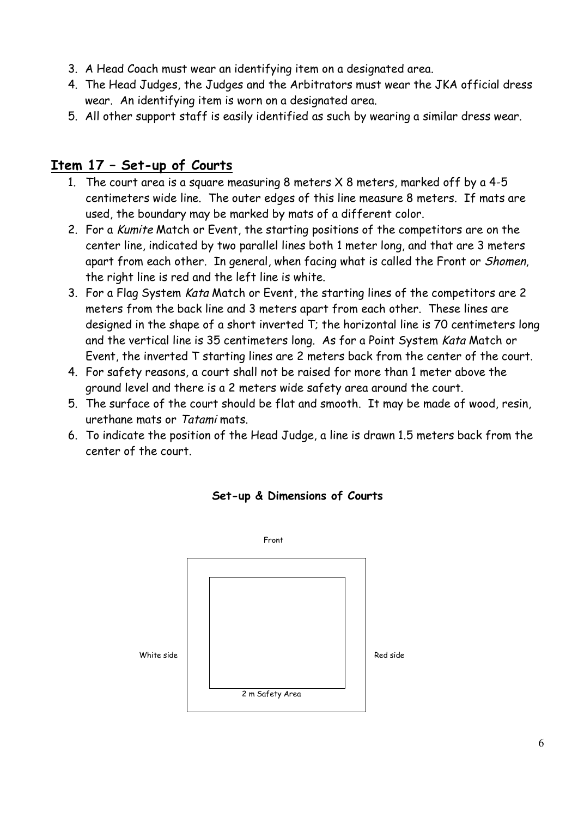- 3. A Head Coach must wear an identifying item on a designated area.
- 4. The Head Judges, the Judges and the Arbitrators must wear the JKA official dress wear. An identifying item is worn on a designated area.
- 5. All other support staff is easily identified as such by wearing a similar dress wear.

#### **Item 17 – Set-up of Courts**

- 1. The court area is a square measuring 8 meters X 8 meters, marked off by a 4-5 centimeters wide line. The outer edges of this line measure 8 meters. If mats are used, the boundary may be marked by mats of a different color.
- 2. For a Kumite Match or Event, the starting positions of the competitors are on the center line, indicated by two parallel lines both 1 meter long, and that are 3 meters apart from each other. In general, when facing what is called the Front or Shomen, the right line is red and the left line is white.
- 3. For a Flag System Kata Match or Event, the starting lines of the competitors are 2 meters from the back line and 3 meters apart from each other. These lines are designed in the shape of a short inverted T; the horizontal line is 70 centimeters long and the vertical line is 35 centimeters long. As for a Point System Kata Match or Event, the inverted T starting lines are 2 meters back from the center of the court.
- 4. For safety reasons, a court shall not be raised for more than 1 meter above the ground level and there is a 2 meters wide safety area around the court.
- 5. The surface of the court should be flat and smooth. It may be made of wood, resin, urethane mats or Tatami mats.
- 6. To indicate the position of the Head Judge, a line is drawn 1.5 meters back from the center of the court.



#### **Set-up & Dimensions of Courts**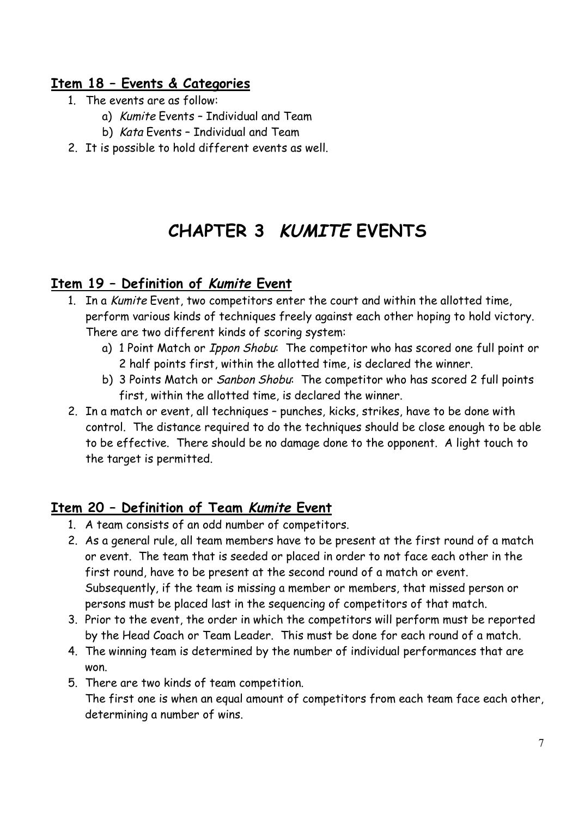#### **Item 18 – Events & Categories**

- 1. The events are as follow:
	- a) Kumite Events Individual and Team
	- b) Kata Events Individual and Team
- 2. It is possible to hold different events as well.

## **CHAPTER 3 KUMITE EVENTS**

#### **Item 19 – Definition of Kumite Event**

- 1. In a Kumite Event, two competitors enter the court and within the allotted time, perform various kinds of techniques freely against each other hoping to hold victory. There are two different kinds of scoring system:
	- a) 1 Point Match or *Ippon Shobu*: The competitor who has scored one full point or 2 half points first, within the allotted time, is declared the winner.
	- b) 3 Points Match or *Sanbon Shobu*: The competitor who has scored 2 full points first, within the allotted time, is declared the winner.
- 2. In a match or event, all techniques punches, kicks, strikes, have to be done with control. The distance required to do the techniques should be close enough to be able to be effective. There should be no damage done to the opponent. A light touch to the target is permitted.

#### **Item 20 – Definition of Team Kumite Event**

- 1. A team consists of an odd number of competitors.
- 2. As a general rule, all team members have to be present at the first round of a match or event. The team that is seeded or placed in order to not face each other in the first round, have to be present at the second round of a match or event. Subsequently, if the team is missing a member or members, that missed person or persons must be placed last in the sequencing of competitors of that match.
- 3. Prior to the event, the order in which the competitors will perform must be reported by the Head Coach or Team Leader. This must be done for each round of a match.
- 4. The winning team is determined by the number of individual performances that are won.
- 5. There are two kinds of team competition.

The first one is when an equal amount of competitors from each team face each other, determining a number of wins.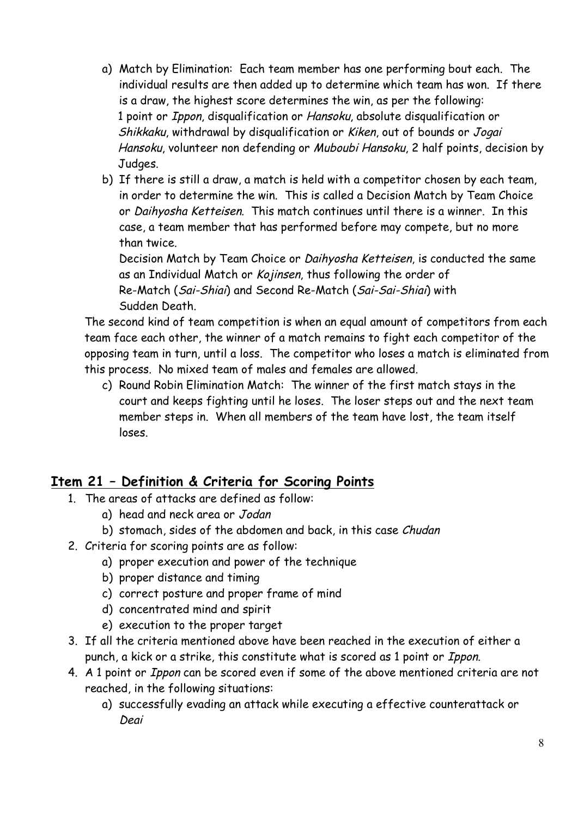- a) Match by Elimination: Each team member has one performing bout each. The individual results are then added up to determine which team has won. If there is a draw, the highest score determines the win, as per the following: 1 point or Ippon, disqualification or Hansoku, absolute disqualification or Shikkaku, withdrawal by disqualification or Kiken, out of bounds or Jogai Hansoku, volunteer non defending or Muboubi Hansoku, 2 half points, decision by Judges.
- b) If there is still a draw, a match is held with a competitor chosen by each team, in order to determine the win. This is called a Decision Match by Team Choice or Daihyosha Ketteisen. This match continues until there is a winner. In this case, a team member that has performed before may compete, but no more than twice.

Decision Match by Team Choice or Daihyosha Ketteisen, is conducted the same as an Individual Match or Kojinsen, thus following the order of Re-Match (Sai-Shiai) and Second Re-Match (Sai-Sai-Shiai) with Sudden Death.

The second kind of team competition is when an equal amount of competitors from each team face each other, the winner of a match remains to fight each competitor of the opposing team in turn, until a loss. The competitor who loses a match is eliminated from this process. No mixed team of males and females are allowed.

c) Round Robin Elimination Match: The winner of the first match stays in the court and keeps fighting until he loses. The loser steps out and the next team member steps in. When all members of the team have lost, the team itself loses.

#### **Item 21 – Definition & Criteria for Scoring Points**

- 1. The areas of attacks are defined as follow:
	- a) head and neck area or Jodan
	- b) stomach, sides of the abdomen and back, in this case Chudan
- 2. Criteria for scoring points are as follow:
	- a) proper execution and power of the technique
	- b) proper distance and timing
	- c) correct posture and proper frame of mind
	- d) concentrated mind and spirit
	- e) execution to the proper target
- 3. If all the criteria mentioned above have been reached in the execution of either a punch, a kick or a strike, this constitute what is scored as 1 point or Ippon.
- 4. A 1 point or Ippon can be scored even if some of the above mentioned criteria are not reached, in the following situations:
	- a) successfully evading an attack while executing a effective counterattack or Deai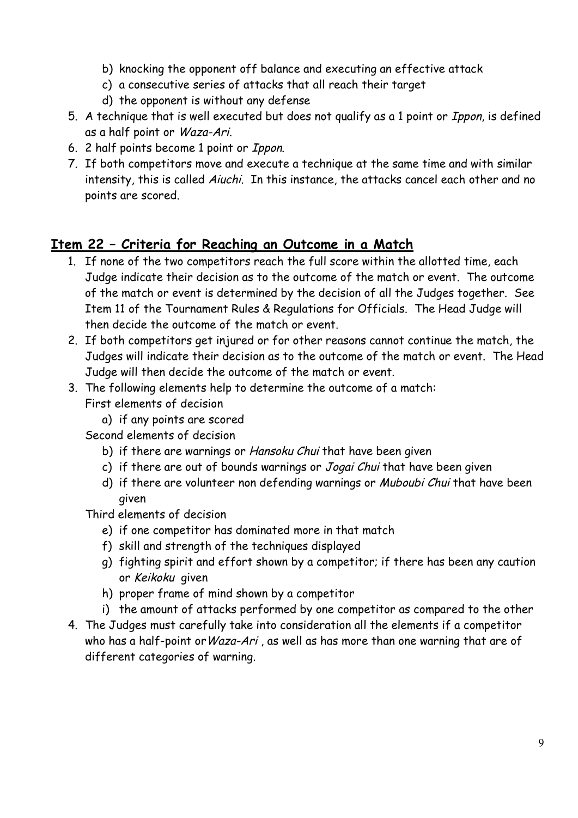- b) knocking the opponent off balance and executing an effective attack
- c) a consecutive series of attacks that all reach their target
- d) the opponent is without any defense
- 5. A technique that is well executed but does not qualify as a 1 point or Ippon, is defined as a half point or Waza-Ari.
- 6. 2 half points become 1 point or Ippon.
- 7. If both competitors move and execute a technique at the same time and with similar intensity, this is called Aiuchi. In this instance, the attacks cancel each other and no points are scored.

#### **Item 22 – Criteria for Reaching an Outcome in a Match**

- 1. If none of the two competitors reach the full score within the allotted time, each Judge indicate their decision as to the outcome of the match or event. The outcome of the match or event is determined by the decision of all the Judges together. See Item 11 of the Tournament Rules & Regulations for Officials. The Head Judge will then decide the outcome of the match or event.
- 2. If both competitors get injured or for other reasons cannot continue the match, the Judges will indicate their decision as to the outcome of the match or event. The Head Judge will then decide the outcome of the match or event.
- 3. The following elements help to determine the outcome of a match: First elements of decision
	- a) if any points are scored

Second elements of decision

- b) if there are warnings or Hansoku Chui that have been given
- c) if there are out of bounds warnings or Jogai Chui that have been given
- d) if there are volunteer non defending warnings or Muboubi Chui that have been given

Third elements of decision

- e) if one competitor has dominated more in that match
- f) skill and strength of the techniques displayed
- g) fighting spirit and effort shown by a competitor; if there has been any caution or Keikoku given
- h) proper frame of mind shown by a competitor
- i) the amount of attacks performed by one competitor as compared to the other
- 4. The Judges must carefully take into consideration all the elements if a competitor who has a half-point or Waza-Ari, as well as has more than one warning that are of different categories of warning.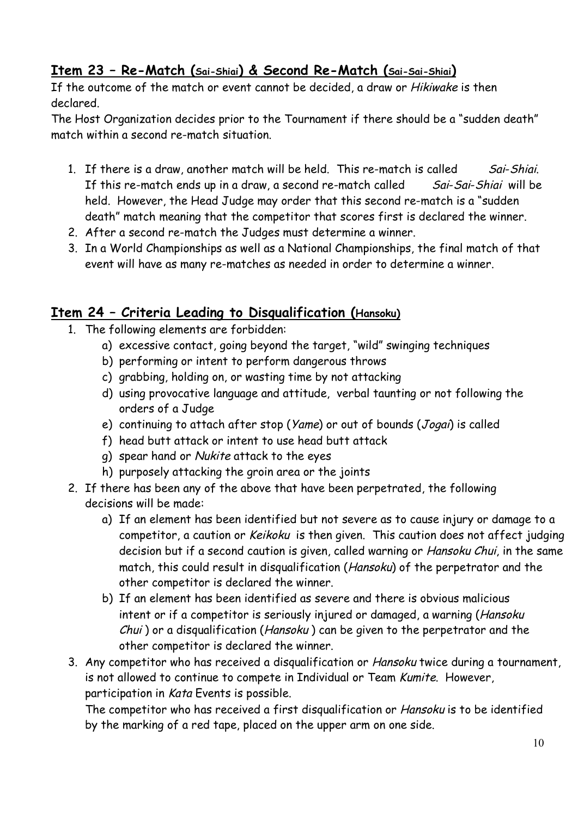#### **Item 23 – Re-Match (Sai-Shiai) & Second Re-Match (Sai-Sai-Shiai)**

If the outcome of the match or event cannot be decided, a draw or Hikiwake is then declared.

The Host Organization decides prior to the Tournament if there should be a "sudden death" match within a second re-match situation.

- 1. If there is a draw, another match will be held. This re-match is called Sai-Shiai. If this re-match ends up in a draw, a second re-match called Sai-Sai-Shiai will be held. However, the Head Judge may order that this second re-match is a "sudden death" match meaning that the competitor that scores first is declared the winner.
- 2. After a second re-match the Judges must determine a winner.
- 3. In a World Championships as well as a National Championships, the final match of that event will have as many re-matches as needed in order to determine a winner.

#### **Item 24 – Criteria Leading to Disqualification (Hansoku)**

- 1. The following elements are forbidden:
	- a) excessive contact, going beyond the target, "wild" swinging techniques
	- b) performing or intent to perform dangerous throws
	- c) grabbing, holding on, or wasting time by not attacking
	- d) using provocative language and attitude, verbal taunting or not following the orders of a Judge
	- e) continuing to attach after stop (Yame) or out of bounds (Jogai) is called
	- f) head butt attack or intent to use head butt attack
	- g) spear hand or Nukite attack to the eyes
	- h) purposely attacking the groin area or the joints
- 2. If there has been any of the above that have been perpetrated, the following decisions will be made:
	- a) If an element has been identified but not severe as to cause injury or damage to a competitor, a caution or Keikoku is then given. This caution does not affect judging decision but if a second caution is given, called warning or Hansoku Chui, in the same match, this could result in disqualification (Hansoku) of the perpetrator and the other competitor is declared the winner.
	- b) If an element has been identified as severe and there is obvious malicious intent or if a competitor is seriously injured or damaged, a warning (Hansoku Chui ) or a disqualification (Hansoku ) can be given to the perpetrator and the other competitor is declared the winner.
- 3. Any competitor who has received a disqualification or Hansoku twice during a tournament, is not allowed to continue to compete in Individual or Team Kumite. However, participation in Kata Events is possible.

The competitor who has received a first disqualification or Hansoku is to be identified by the marking of a red tape, placed on the upper arm on one side.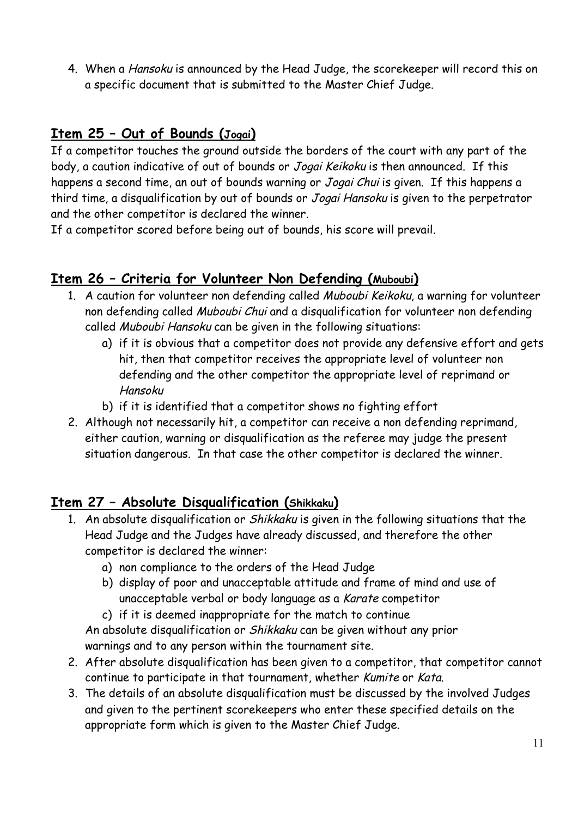4. When a Hansoku is announced by the Head Judge, the scorekeeper will record this on a specific document that is submitted to the Master Chief Judge.

#### **Item 25 – Out of Bounds (Jogai)**

If a competitor touches the ground outside the borders of the court with any part of the body, a caution indicative of out of bounds or Jogai Keikoku is then announced. If this happens a second time, an out of bounds warning or Jogai Chui is given. If this happens a third time, a disqualification by out of bounds or Jogai Hansoku is given to the perpetrator and the other competitor is declared the winner.

If a competitor scored before being out of bounds, his score will prevail.

#### **Item 26 – Criteria for Volunteer Non Defending (Muboubi)**

- 1. A caution for volunteer non defending called Muboubi Keikoku, a warning for volunteer non defending called Muboubi Chui and a disqualification for volunteer non defending called Muboubi Hansoku can be given in the following situations:
	- a) if it is obvious that a competitor does not provide any defensive effort and gets hit, then that competitor receives the appropriate level of volunteer non defending and the other competitor the appropriate level of reprimand or Hansoku
	- b) if it is identified that a competitor shows no fighting effort
- 2. Although not necessarily hit, a competitor can receive a non defending reprimand, either caution, warning or disqualification as the referee may judge the present situation dangerous. In that case the other competitor is declared the winner.

#### **Item 27 – Absolute Disqualification (Shikkaku)**

- 1. An absolute disqualification or *Shikkaku* is given in the following situations that the Head Judge and the Judges have already discussed, and therefore the other competitor is declared the winner:
	- a) non compliance to the orders of the Head Judge
	- b) display of poor and unacceptable attitude and frame of mind and use of unacceptable verbal or body language as a Karate competitor
	- c) if it is deemed inappropriate for the match to continue

An absolute disqualification or Shikkaku can be given without any prior warnings and to any person within the tournament site.

- 2. After absolute disqualification has been given to a competitor, that competitor cannot continue to participate in that tournament, whether Kumite or Kata.
- 3. The details of an absolute disqualification must be discussed by the involved Judges and given to the pertinent scorekeepers who enter these specified details on the appropriate form which is given to the Master Chief Judge.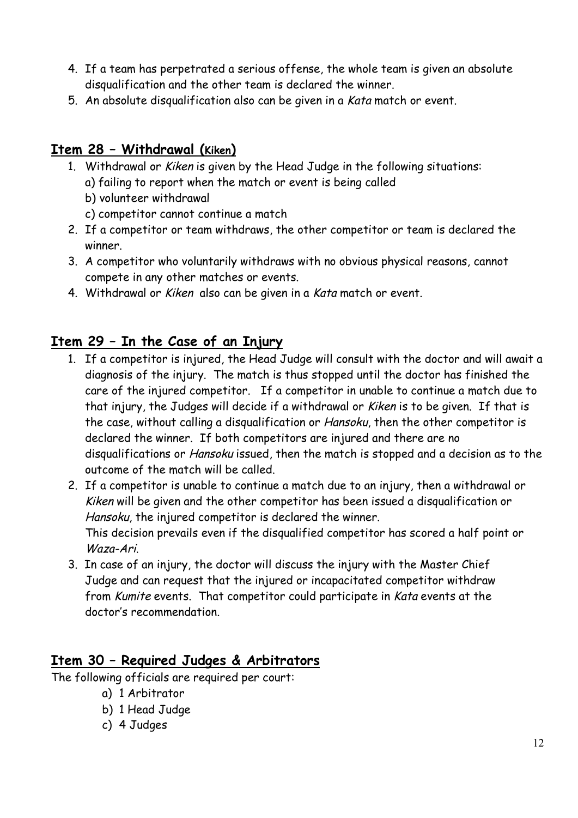- 4. If a team has perpetrated a serious offense, the whole team is given an absolute disqualification and the other team is declared the winner.
- 5. An absolute disqualification also can be given in a Kata match or event.

#### **Item 28 – Withdrawal (Kiken)**

- 1. Withdrawal or Kiken is given by the Head Judge in the following situations:
	- a) failing to report when the match or event is being called
	- b) volunteer withdrawal
	- c) competitor cannot continue a match
- 2. If a competitor or team withdraws, the other competitor or team is declared the winner.
- 3. A competitor who voluntarily withdraws with no obvious physical reasons, cannot compete in any other matches or events.
- 4. Withdrawal or Kiken also can be given in a Kata match or event.

#### **Item 29 – In the Case of an Injury**

- 1. If a competitor is injured, the Head Judge will consult with the doctor and will await a diagnosis of the injury. The match is thus stopped until the doctor has finished the care of the injured competitor. If a competitor in unable to continue a match due to that injury, the Judges will decide if a withdrawal or Kiken is to be given. If that is the case, without calling a disqualification or Hansoku, then the other competitor is declared the winner. If both competitors are injured and there are no disqualifications or Hansoku issued, then the match is stopped and a decision as to the outcome of the match will be called.
- 2. If a competitor is unable to continue a match due to an injury, then a withdrawal or Kiken will be given and the other competitor has been issued a disqualification or Hansoku, the injured competitor is declared the winner. This decision prevails even if the disqualified competitor has scored a half point or Waza-Ari.
- 3. In case of an injury, the doctor will discuss the injury with the Master Chief Judge and can request that the injured or incapacitated competitor withdraw from Kumite events. That competitor could participate in Kata events at the doctor's recommendation.

#### **Item 30 – Required Judges & Arbitrators**

The following officials are required per court:

- a) 1 Arbitrator
- b) 1 Head Judge
- c) 4 Judges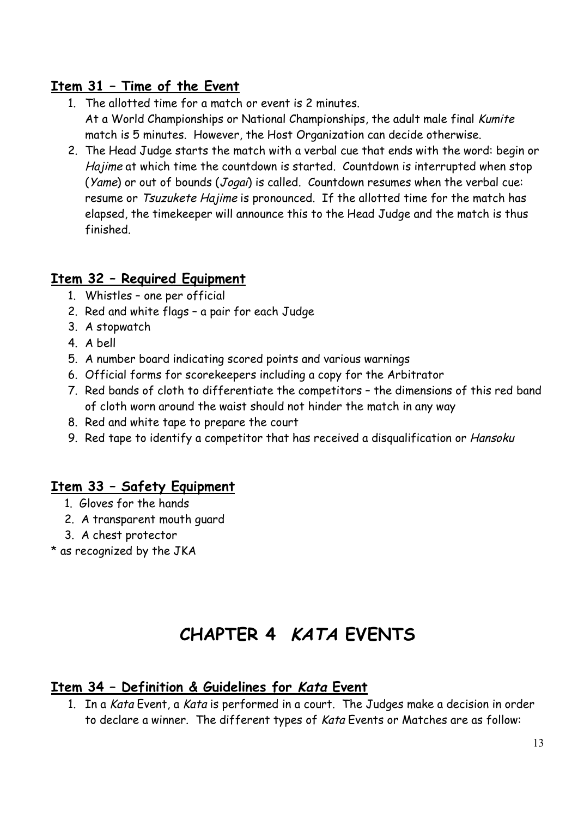#### **Item 31 – Time of the Event**

- 1. The allotted time for a match or event is 2 minutes. At a World Championships or National Championships, the adult male final Kumite match is 5 minutes. However, the Host Organization can decide otherwise.
- 2. The Head Judge starts the match with a verbal cue that ends with the word: begin or Hajime at which time the countdown is started. Countdown is interrupted when stop (Yame) or out of bounds (Jogai) is called. Countdown resumes when the verbal cue: resume or Tsuzukete Hajime is pronounced. If the allotted time for the match has elapsed, the timekeeper will announce this to the Head Judge and the match is thus finished.

#### **Item 32 – Required Equipment**

- 1. Whistles one per official
- 2. Red and white flags a pair for each Judge
- 3. A stopwatch
- 4. A bell
- 5. A number board indicating scored points and various warnings
- 6. Official forms for scorekeepers including a copy for the Arbitrator
- 7. Red bands of cloth to differentiate the competitors the dimensions of this red band of cloth worn around the waist should not hinder the match in any way
- 8. Red and white tape to prepare the court
- 9. Red tape to identify a competitor that has received a disqualification or Hansoku

#### **Item 33 – Safety Equipment**

- 1. Gloves for the hands
- 2. A transparent mouth guard
- 3. A chest protector
- \* as recognized by the JKA

## **CHAPTER 4 KATA EVENTS**

#### **Item 34 – Definition & Guidelines for Kata Event**

1. In a Kata Event, a Kata is performed in a court. The Judges make a decision in order to declare a winner. The different types of Kata Events or Matches are as follow: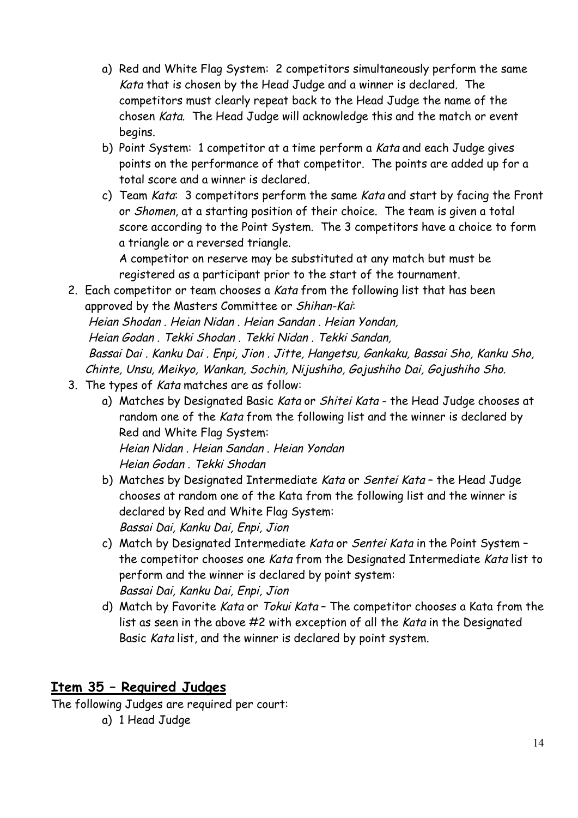- a) Red and White Flag System: 2 competitors simultaneously perform the same Kata that is chosen by the Head Judge and a winner is declared. The competitors must clearly repeat back to the Head Judge the name of the chosen Kata. The Head Judge will acknowledge this and the match or event begins.
- b) Point System: 1 competitor at a time perform a Kata and each Judge gives points on the performance of that competitor. The points are added up for a total score and a winner is declared.
- c) Team Kata: 3 competitors perform the same Kata and start by facing the Front or Shomen, at a starting position of their choice. The team is given a total score according to the Point System. The 3 competitors have a choice to form a triangle or a reversed triangle. A competitor on reserve may be substituted at any match but must be

registered as a participant prior to the start of the tournament.

- 2. Each competitor or team chooses a Kata from the following list that has been approved by the Masters Committee or Shihan-Kai: Heian Shodan . Heian Nidan . Heian Sandan . Heian Yondan, Heian Godan . Tekki Shodan . Tekki Nidan . Tekki Sandan, Bassai Dai . Kanku Dai . Enpi, Jion . Jitte, Hangetsu, Gankaku, Bassai Sho, Kanku Sho, Chinte, Unsu, Meikyo, Wankan, Sochin, Nijushiho, Gojushiho Dai, Gojushiho Sho.
- 3. The types of Kata matches are as follow:
	- a) Matches by Designated Basic Kata or Shitei Kata the Head Judge chooses at random one of the Kata from the following list and the winner is declared by Red and White Flag System:

Heian Nidan . Heian Sandan . Heian Yondan Heian Godan . Tekki Shodan

- b) Matches by Designated Intermediate Kata or Sentei Kata the Head Judge chooses at random one of the Kata from the following list and the winner is declared by Red and White Flag System: Bassai Dai, Kanku Dai, Enpi, Jion
- c) Match by Designated Intermediate Kata or Sentei Kata in the Point System the competitor chooses one Kata from the Designated Intermediate Kata list to perform and the winner is declared by point system: Bassai Dai, Kanku Dai, Enpi, Jion
- d) Match by Favorite Kata or Tokui Kata The competitor chooses a Kata from the list as seen in the above #2 with exception of all the Kata in the Designated Basic Kata list, and the winner is declared by point system.

#### **Item 35 – Required Judges**

The following Judges are required per court:

a) 1 Head Judge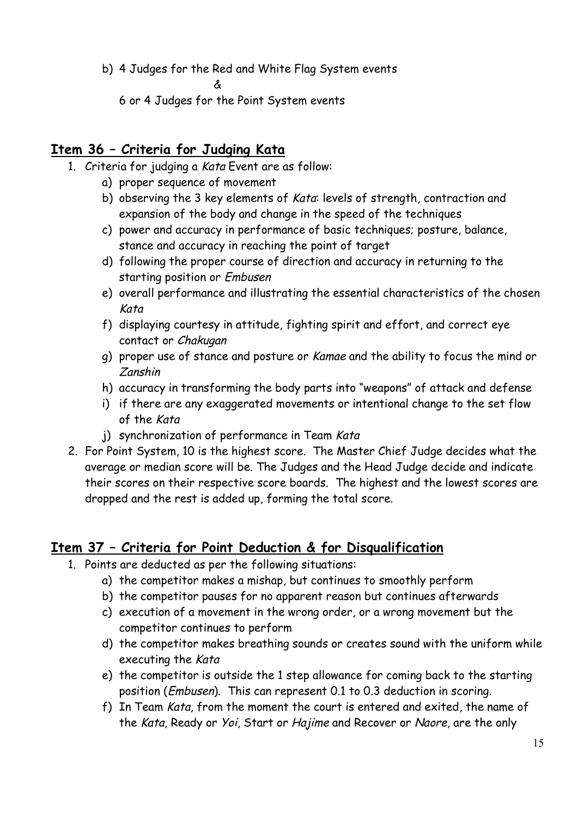b) 4 Judges for the Red and White Flag System events

&

6 or 4 Judges for the Point System events

#### **Item 36 – Criteria for Judging Kata**

- 1. Criteria for judging a Kata Event are as follow:
	- a) proper sequence of movement
		- b) observing the 3 key elements of Kata: levels of strength, contraction and expansion of the body and change in the speed of the techniques
		- c) power and accuracy in performance of basic techniques; posture, balance, stance and accuracy in reaching the point of target
		- d) following the proper course of direction and accuracy in returning to the starting position or Embusen
		- e) overall performance and illustrating the essential characteristics of the chosen Kata
		- f) displaying courtesy in attitude, fighting spirit and effort, and correct eye contact or Chakugan
		- g) proper use of stance and posture or Kamae and the ability to focus the mind or Zanshin
		- h) accuracy in transforming the body parts into "weapons" of attack and defense
		- i) if there are any exaggerated movements or intentional change to the set flow of the Kata
		- j) synchronization of performance in Team Kata
- 2. For Point System, 10 is the highest score. The Master Chief Judge decides what the average or median score will be. The Judges and the Head Judge decide and indicate their scores on their respective score boards. The highest and the lowest scores are dropped and the rest is added up, forming the total score.

#### **Item 37 – Criteria for Point Deduction & for Disqualification**

- 1. Points are deducted as per the following situations:
	- a) the competitor makes a mishap, but continues to smoothly perform
	- b) the competitor pauses for no apparent reason but continues afterwards
	- c) execution of a movement in the wrong order, or a wrong movement but the competitor continues to perform
	- d) the competitor makes breathing sounds or creates sound with the uniform while executing the Kata
	- e) the competitor is outside the 1 step allowance for coming back to the starting position (Embusen). This can represent 0.1 to 0.3 deduction in scoring.
	- f) In Team Kata, from the moment the court is entered and exited, the name of the Kata, Ready or Yoi, Start or Hajime and Recover or Naore, are the only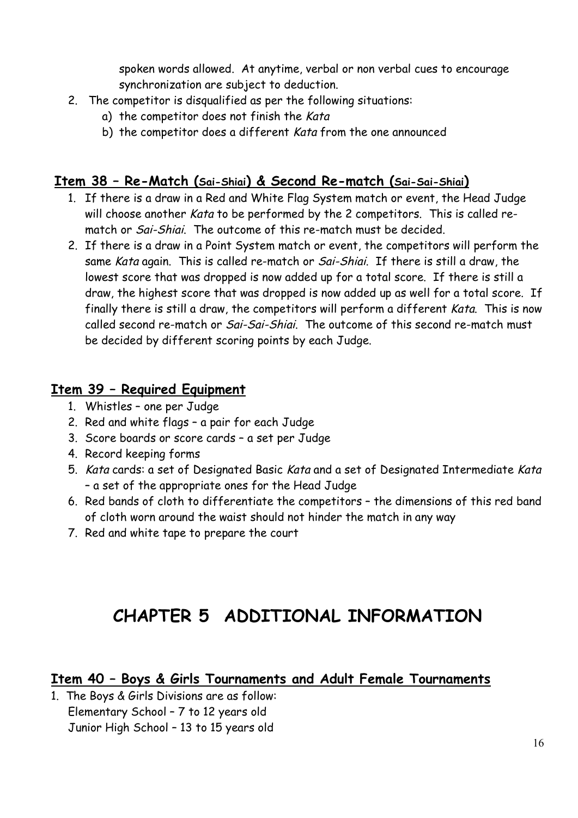spoken words allowed. At anytime, verbal or non verbal cues to encourage synchronization are subject to deduction.

- 2. The competitor is disqualified as per the following situations:
	- a) the competitor does not finish the Kata
	- b) the competitor does a different Kata from the one announced

#### **Item 38 – Re-Match (Sai-Shiai) & Second Re-match (Sai-Sai-Shiai)**

- 1. If there is a draw in a Red and White Flag System match or event, the Head Judge will choose another Kata to be performed by the 2 competitors. This is called rematch or Sai-Shiai. The outcome of this re-match must be decided.
- 2. If there is a draw in a Point System match or event, the competitors will perform the same Kata again. This is called re-match or Sai-Shiai. If there is still a draw, the lowest score that was dropped is now added up for a total score. If there is still a draw, the highest score that was dropped is now added up as well for a total score. If finally there is still a draw, the competitors will perform a different Kata. This is now called second re-match or *Sai-Sai-Shiai*. The outcome of this second re-match must be decided by different scoring points by each Judge.

#### **Item 39 – Required Equipment**

- 1. Whistles one per Judge
- 2. Red and white flags a pair for each Judge
- 3. Score boards or score cards a set per Judge
- 4. Record keeping forms
- 5. Kata cards: a set of Designated Basic Kata and a set of Designated Intermediate Kata – a set of the appropriate ones for the Head Judge
- 6. Red bands of cloth to differentiate the competitors the dimensions of this red band of cloth worn around the waist should not hinder the match in any way
- 7. Red and white tape to prepare the court

## **CHAPTER 5 ADDITIONAL INFORMATION**

#### **Item 40 – Boys & Girls Tournaments and Adult Female Tournaments**

1. The Boys & Girls Divisions are as follow: Elementary School – 7 to 12 years old Junior High School – 13 to 15 years old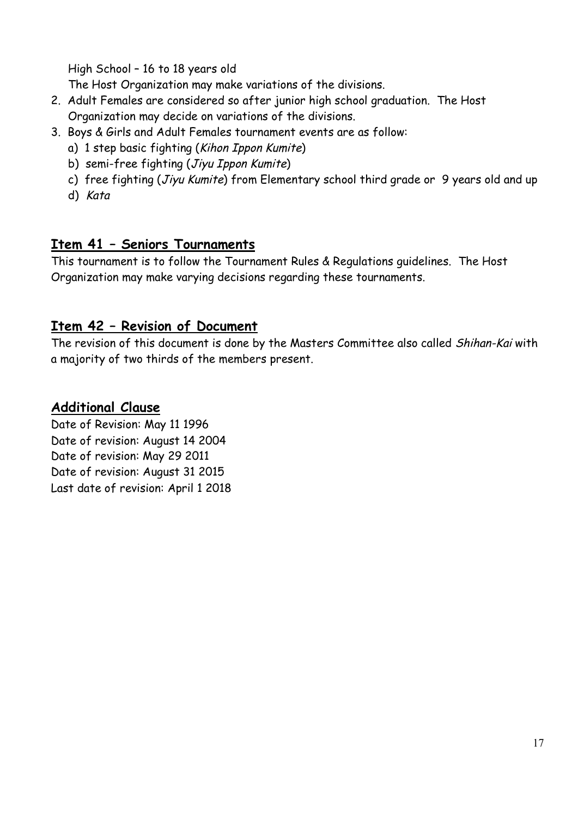High School – 16 to 18 years old

The Host Organization may make variations of the divisions.

- 2. Adult Females are considered so after junior high school graduation. The Host Organization may decide on variations of the divisions.
- 3. Boys & Girls and Adult Females tournament events are as follow:
	- a) 1 step basic fighting (Kihon Ippon Kumite)
	- b) semi-free fighting (Jiyu Ippon Kumite)
	- c) free fighting (Jiyu Kumite) from Elementary school third grade or 9 years old and up
	- d) Kata

#### **Item 41 – Seniors Tournaments**

This tournament is to follow the Tournament Rules & Regulations guidelines. The Host Organization may make varying decisions regarding these tournaments.

#### **Item 42 – Revision of Document**

The revision of this document is done by the Masters Committee also called Shihan-Kai with a majority of two thirds of the members present.

#### **Additional Clause**

Date of Revision: May 11 1996 Date of revision: August 14 2004 Date of revision: May 29 2011 Date of revision: August 31 2015 Last date of revision: April 1 2018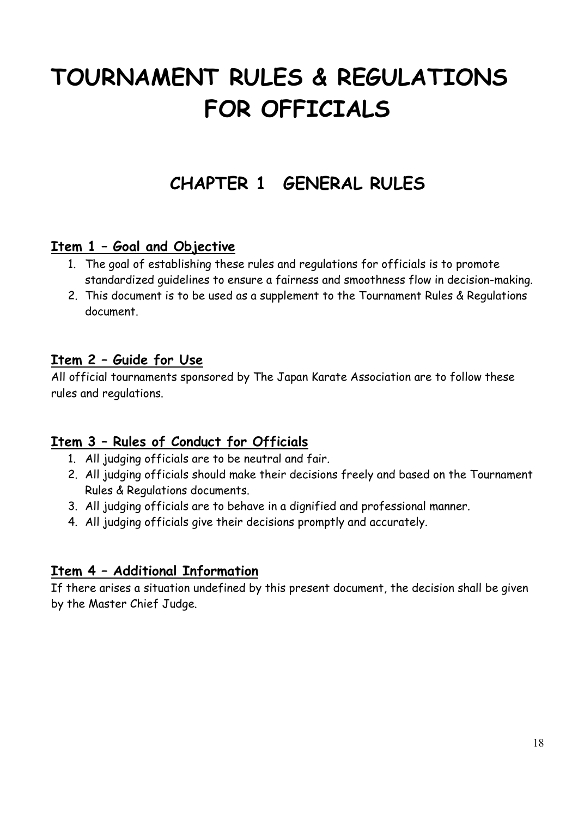# **TOURNAMENT RULES & REGULATIONS FOR OFFICIALS**

## **CHAPTER 1 GENERAL RULES**

#### **Item 1 – Goal and Objective**

- 1. The goal of establishing these rules and regulations for officials is to promote standardized guidelines to ensure a fairness and smoothness flow in decision-making.
- 2. This document is to be used as a supplement to the Tournament Rules & Regulations document.

#### **Item 2 – Guide for Use**

All official tournaments sponsored by The Japan Karate Association are to follow these rules and regulations.

#### **Item 3 – Rules of Conduct for Officials**

- 1. All judging officials are to be neutral and fair.
- 2. All judging officials should make their decisions freely and based on the Tournament Rules & Regulations documents.
- 3. All judging officials are to behave in a dignified and professional manner.
- 4. All judging officials give their decisions promptly and accurately.

#### **Item 4 – Additional Information**

If there arises a situation undefined by this present document, the decision shall be given by the Master Chief Judge.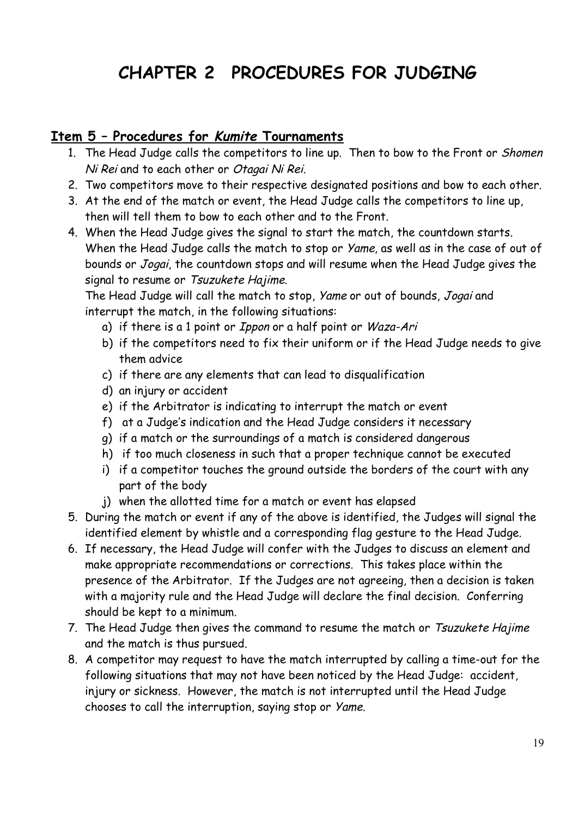## **CHAPTER 2 PROCEDURES FOR JUDGING**

#### **Item 5 – Procedures for Kumite Tournaments**

- 1. The Head Judge calls the competitors to line up. Then to bow to the Front or Shomen Ni Rei and to each other or Otagai Ni Rei.
- 2. Two competitors move to their respective designated positions and bow to each other.
- 3. At the end of the match or event, the Head Judge calls the competitors to line up, then will tell them to bow to each other and to the Front.
- 4. When the Head Judge gives the signal to start the match, the countdown starts. When the Head Judge calls the match to stop or Yame, as well as in the case of out of bounds or Jogai, the countdown stops and will resume when the Head Judge gives the signal to resume or Tsuzukete Hajime.

The Head Judge will call the match to stop, Yame or out of bounds, Jogai and interrupt the match, in the following situations:

- a) if there is a 1 point or Ippon or a half point or Waza-Ari
- b) if the competitors need to fix their uniform or if the Head Judge needs to give them advice
- c) if there are any elements that can lead to disqualification
- d) an injury or accident
- e) if the Arbitrator is indicating to interrupt the match or event
- f) at a Judge's indication and the Head Judge considers it necessary
- g) if a match or the surroundings of a match is considered dangerous
- h) if too much closeness in such that a proper technique cannot be executed
- i) if a competitor touches the ground outside the borders of the court with any part of the body
- j) when the allotted time for a match or event has elapsed
- 5. During the match or event if any of the above is identified, the Judges will signal the identified element by whistle and a corresponding flag gesture to the Head Judge.
- 6. If necessary, the Head Judge will confer with the Judges to discuss an element and make appropriate recommendations or corrections. This takes place within the presence of the Arbitrator. If the Judges are not agreeing, then a decision is taken with a majority rule and the Head Judge will declare the final decision. Conferring should be kept to a minimum.
- 7. The Head Judge then gives the command to resume the match or Tsuzukete Hajime and the match is thus pursued.
- 8. A competitor may request to have the match interrupted by calling a time-out for the following situations that may not have been noticed by the Head Judge: accident, injury or sickness. However, the match is not interrupted until the Head Judge chooses to call the interruption, saying stop or Yame.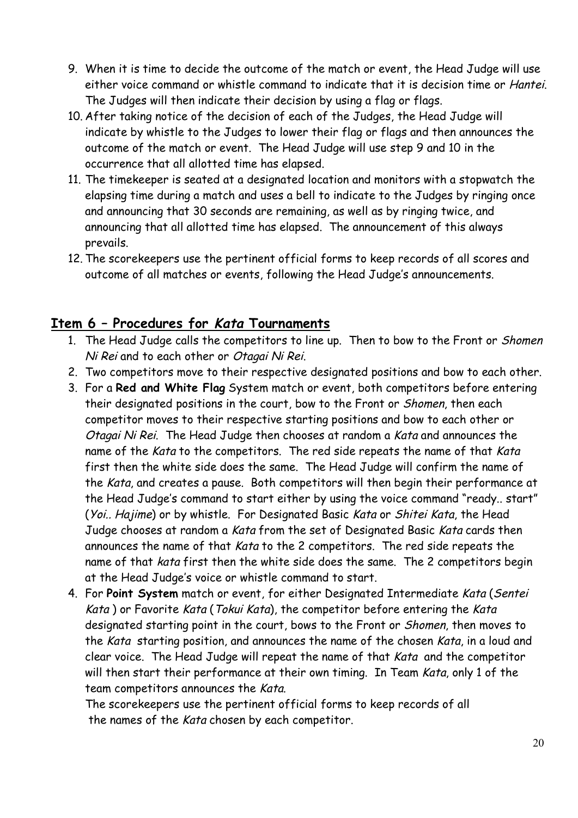- 9. When it is time to decide the outcome of the match or event, the Head Judge will use either voice command or whistle command to indicate that it is decision time or Hantei. The Judges will then indicate their decision by using a flag or flags.
- 10. After taking notice of the decision of each of the Judges, the Head Judge will indicate by whistle to the Judges to lower their flag or flags and then announces the outcome of the match or event. The Head Judge will use step 9 and 10 in the occurrence that all allotted time has elapsed.
- 11. The timekeeper is seated at a designated location and monitors with a stopwatch the elapsing time during a match and uses a bell to indicate to the Judges by ringing once and announcing that 30 seconds are remaining, as well as by ringing twice, and announcing that all allotted time has elapsed. The announcement of this always prevails.
- 12. The scorekeepers use the pertinent official forms to keep records of all scores and outcome of all matches or events, following the Head Judge's announcements.

#### **Item 6 – Procedures for Kata Tournaments**

- 1. The Head Judge calls the competitors to line up. Then to bow to the Front or Shomen Ni Rei and to each other or Otagai Ni Rei.
- 2. Two competitors move to their respective designated positions and bow to each other.
- 3. For a **Red and White Flag** System match or event, both competitors before entering their designated positions in the court, bow to the Front or Shomen, then each competitor moves to their respective starting positions and bow to each other or Otagai Ni Rei. The Head Judge then chooses at random a Kata and announces the name of the Kata to the competitors. The red side repeats the name of that Kata first then the white side does the same. The Head Judge will confirm the name of the Kata, and creates a pause. Both competitors will then begin their performance at the Head Judge's command to start either by using the voice command "ready.. start" (Yoi.. Hajime) or by whistle. For Designated Basic Kata or Shitei Kata, the Head Judge chooses at random a Kata from the set of Designated Basic Kata cards then announces the name of that Kata to the 2 competitors. The red side repeats the name of that kata first then the white side does the same. The 2 competitors begin at the Head Judge's voice or whistle command to start.
- 4. For **Point System** match or event, for either Designated Intermediate Kata (Sentei Kata) or Favorite Kata (Tokui Kata), the competitor before entering the Kata designated starting point in the court, bows to the Front or Shomen, then moves to the Kata starting position, and announces the name of the chosen Kata, in a loud and clear voice. The Head Judge will repeat the name of that Kata and the competitor will then start their performance at their own timing. In Team Kata, only 1 of the team competitors announces the Kata.

The scorekeepers use the pertinent official forms to keep records of all the names of the Kata chosen by each competitor.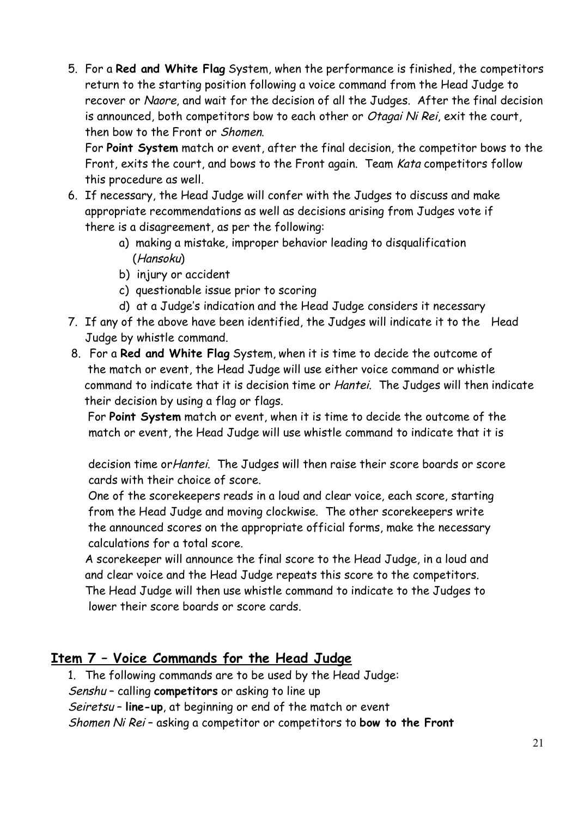5. For a **Red and White Flag** System, when the performance is finished, the competitors return to the starting position following a voice command from the Head Judge to recover or Naore, and wait for the decision of all the Judges. After the final decision is announced, both competitors bow to each other or Otagai Ni Rei, exit the court, then bow to the Front or Shomen.

For **Point System** match or event, after the final decision, the competitor bows to the Front, exits the court, and bows to the Front again. Team Kata competitors follow this procedure as well.

- 6. If necessary, the Head Judge will confer with the Judges to discuss and make appropriate recommendations as well as decisions arising from Judges vote if there is a disagreement, as per the following:
	- a) making a mistake, improper behavior leading to disqualification (Hansoku)
	- b) injury or accident
	- c) questionable issue prior to scoring
	- d) at a Judge's indication and the Head Judge considers it necessary
- 7. If any of the above have been identified, the Judges will indicate it to the Head Judge by whistle command.
- 8. For a **Red and White Flag** System, when it is time to decide the outcome of the match or event, the Head Judge will use either voice command or whistle command to indicate that it is decision time or Hantei. The Judges will then indicate their decision by using a flag or flags.

For **Point System** match or event, when it is time to decide the outcome of the match or event, the Head Judge will use whistle command to indicate that it is

decision time orHantei. The Judges will then raise their score boards or score cards with their choice of score.

One of the scorekeepers reads in a loud and clear voice, each score, starting from the Head Judge and moving clockwise. The other scorekeepers write the announced scores on the appropriate official forms, make the necessary calculations for a total score.

A scorekeeper will announce the final score to the Head Judge, in a loud and and clear voice and the Head Judge repeats this score to the competitors. The Head Judge will then use whistle command to indicate to the Judges to lower their score boards or score cards.

#### **Item 7 – Voice Commands for the Head Judge**

1. The following commands are to be used by the Head Judge: Senshu – calling **competitors** or asking to line up Seiretsu – **line-up**, at beginning or end of the match or event Shomen Ni Rei – asking a competitor or competitors to **bow to the Front**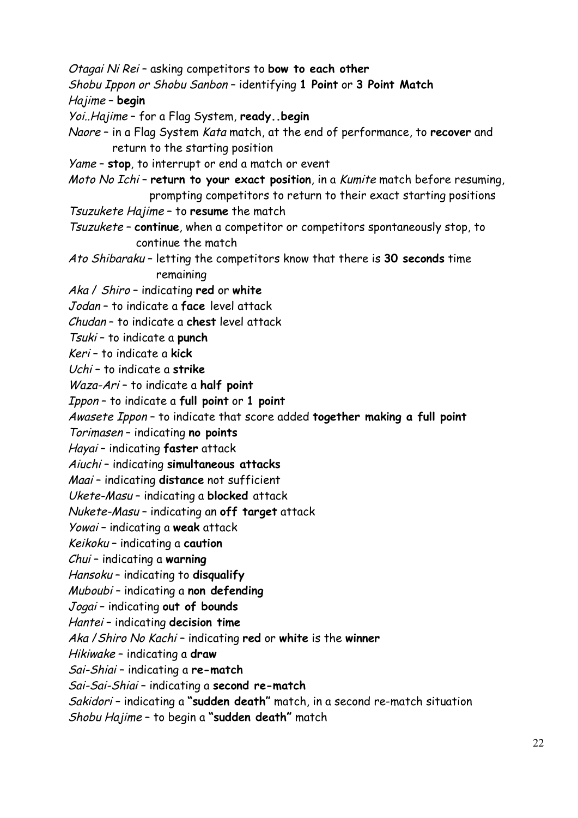Otagai Ni Rei – asking competitors to **bow to each other** Shobu Ippon or Shobu Sanbon – identifying **1 Point** or **3 Point Match** Hajime – **begin** Yoi..Hajime – for a Flag System, **ready..begin** Naore – in a Flag System Kata match, at the end of performance, to **recover** and return to the starting position Yame – **stop**, to interrupt or end a match or event Moto No Ichi – **return to your exact position**, in a Kumite match before resuming, prompting competitors to return to their exact starting positions Tsuzukete Hajime – to **resume** the match Tsuzukete – **continue**, when a competitor or competitors spontaneously stop, to continue the match Ato Shibaraku – letting the competitors know that there is **30 seconds** time remaining Aka / Shiro – indicating **red** or **white** Jodan – to indicate a **face** level attack Chudan – to indicate a **chest** level attack Tsuki – to indicate a **punch** Keri – to indicate a **kick** Uchi – to indicate a **strike** Waza-Ari – to indicate a **half point** Ippon – to indicate a **full point** or **1 point** Awasete Ippon – to indicate that score added **together making a full point** Torimasen – indicating **no points** Hayai – indicating **faster** attack Aiuchi – indicating **simultaneous attacks** Maai – indicating **distance** not sufficient Ukete-Masu – indicating a **blocked** attack Nukete-Masu – indicating an **off target** attack Yowai – indicating a **weak** attack Keikoku – indicating a **caution** Chui – indicating a **warning** Hansoku – indicating to **disqualify** Muboubi – indicating a **non defending** Jogai – indicating **out of bounds** Hantei – indicating **decision time** Aka /Shiro No Kachi – indicating **red** or **white** is the **winner** Hikiwake – indicating a **draw** Sai-Shiai – indicating a **re-match** Sai-Sai-Shiai – indicating a **second re-match** Sakidori – indicating a **"sudden death"** match, in a second re-match situation Shobu Hajime – to begin a **"sudden death"** match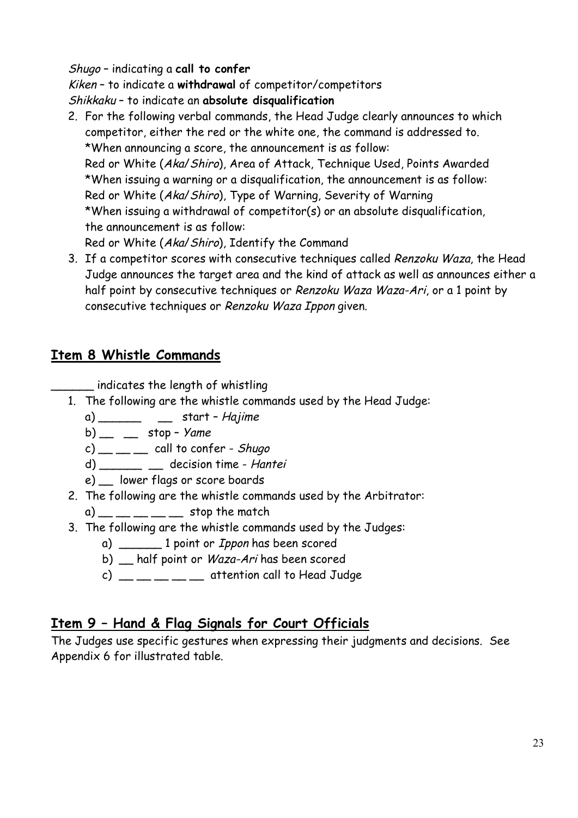#### Shugo – indicating a **call to confer**

Kiken – to indicate a **withdrawal** of competitor/competitors

Shikkaku – to indicate an **absolute disqualification**

- 2. For the following verbal commands, the Head Judge clearly announces to which competitor, either the red or the white one, the command is addressed to. \*When announcing a score, the announcement is as follow: Red or White (Aka/Shiro), Area of Attack, Technique Used, Points Awarded \*When issuing a warning or a disqualification, the announcement is as follow: Red or White (Aka/Shiro), Type of Warning, Severity of Warning \*When issuing a withdrawal of competitor(s) or an absolute disqualification, the announcement is as follow: Red or White (Aka/Shiro), Identify the Command
- 3. If a competitor scores with consecutive techniques called Renzoku Waza, the Head Judge announces the target area and the kind of attack as well as announces either a half point by consecutive techniques or Renzoku Waza Waza-Ari, or a 1 point by consecutive techniques or Renzoku Waza Ippon given.

#### **Item 8 Whistle Commands**

 $\blacksquare$  indicates the length of whistling

- 1. The following are the whistle commands used by the Head Judge:
	- $a)$  \_\_\_\_\_\_\_\_ \_\_\_ start Hajime
	- b)  $\_\_$  stop Yame
	- $(c)$  \_\_ \_ \_ call to confer Shugo
	- d) \_\_\_\_\_\_\_ \_\_ decision time Hantei
	- e) \_\_ lower flags or score boards
- 2. The following are the whistle commands used by the Arbitrator:
	- $(a)$  \_\_ \_ \_ \_ \_ \_ stop the match
- 3. The following are the whistle commands used by the Judges:
	- a) \_\_\_\_\_\_\_\_ 1 point or *Ippon* has been scored
	- b) \_\_ half point or *Waza-Ari* has been scored
	- $c)$  \_\_ \_ \_ \_ \_ attention call to Head Judge

#### **Item 9 – Hand & Flag Signals for Court Officials**

The Judges use specific gestures when expressing their judgments and decisions. See Appendix 6 for illustrated table.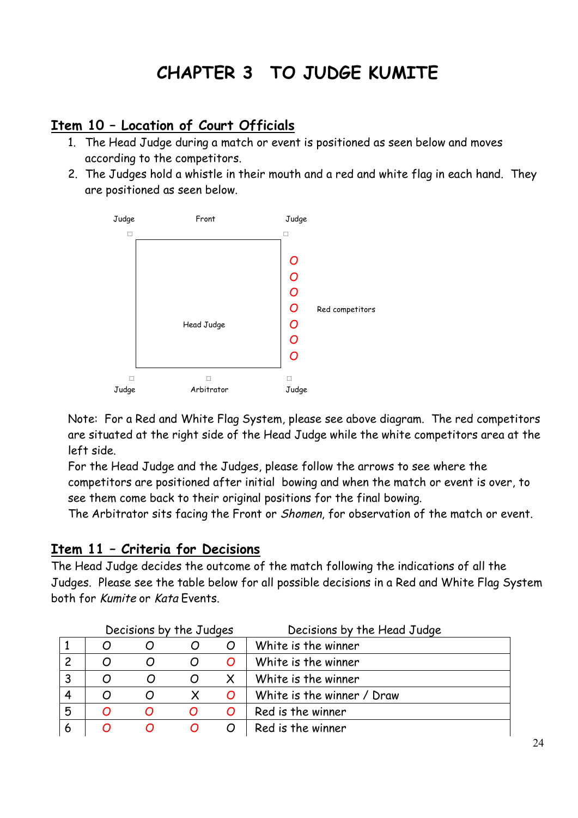## **CHAPTER 3 TO JUDGE KUMITE**

#### **Item 10 – Location of Court Officials**

- 1. The Head Judge during a match or event is positioned as seen below and moves according to the competitors.
- 2. The Judges hold a whistle in their mouth and a red and white flag in each hand. They are positioned as seen below.



Note: For a Red and White Flag System, please see above diagram. The red competitors are situated at the right side of the Head Judge while the white competitors area at the left side.

For the Head Judge and the Judges, please follow the arrows to see where the competitors are positioned after initial bowing and when the match or event is over, to see them come back to their original positions for the final bowing.

The Arbitrator sits facing the Front or Shomen, for observation of the match or event.

#### **Item 11 – Criteria for Decisions**

The Head Judge decides the outcome of the match following the indications of all the Judges. Please see the table below for all possible decisions in a Red and White Flag System both for Kumite or Kata Events.

|   | Decisions by the Judges |  |   |                | Decisions by the Head Judge |
|---|-------------------------|--|---|----------------|-----------------------------|
|   |                         |  |   | O              | White is the winner         |
|   |                         |  |   | O              | White is the winner         |
| 3 |                         |  |   |                | White is the winner         |
| 4 |                         |  |   | $\overline{O}$ | White is the winner / Draw  |
| 5 |                         |  | O | $\overline{O}$ | Red is the winner           |
| 6 |                         |  |   |                | Red is the winner           |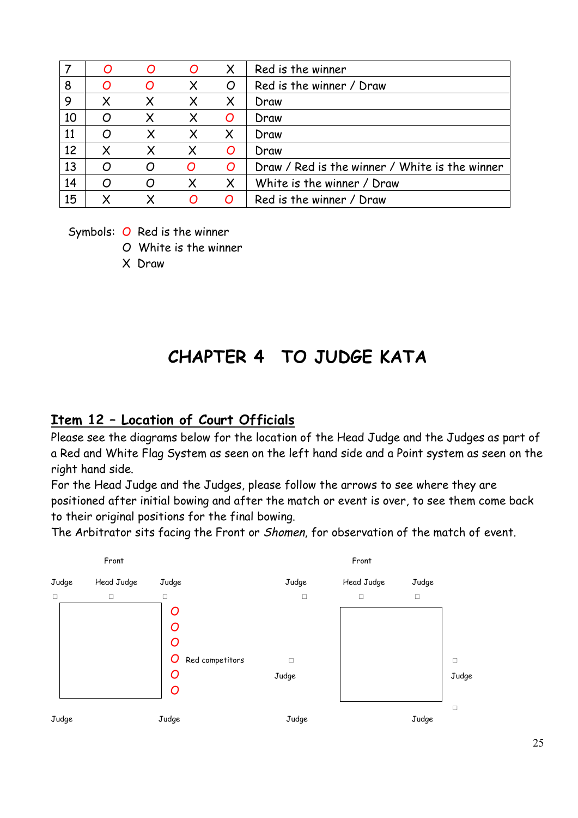|    |   | O | O        | $\boldsymbol{\mathsf{X}}$ | Red is the winner                              |
|----|---|---|----------|---------------------------|------------------------------------------------|
| 8  |   |   | X        | O                         | Red is the winner / Draw                       |
| 9  |   | X | $\times$ | $\times$                  | Draw                                           |
| 10 | O |   | X        | O                         | Draw                                           |
| 11 | O |   | X        | X                         | Draw                                           |
| 12 |   |   |          | O                         | Draw                                           |
| 13 | O |   | $\Omega$ | O                         | Draw / Red is the winner / White is the winner |
| 14 | O | O | X        | $\boldsymbol{\mathsf{X}}$ | White is the winner / Draw                     |
| 15 |   |   | O        | $\overline{O}$            | Red is the winner / Draw                       |

Symbols: O Red is the winner

O White is the winner

X Draw

## **CHAPTER 4 TO JUDGE KATA**

#### **Item 12 – Location of Court Officials**

Please see the diagrams below for the location of the Head Judge and the Judges as part of a Red and White Flag System as seen on the left hand side and a Point system as seen on the right hand side.

For the Head Judge and the Judges, please follow the arrows to see where they are positioned after initial bowing and after the match or event is over, to see them come back to their original positions for the final bowing.

The Arbitrator sits facing the Front or Shomen, for observation of the match of event.

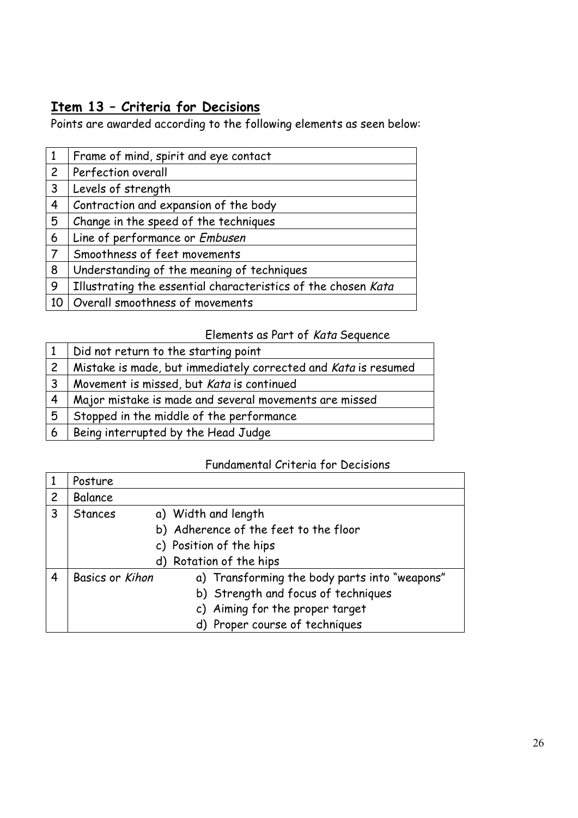### **Item 13 – Criteria for Decisions**

Points are awarded according to the following elements as seen below:

| $\mathbf{1}$   | Frame of mind, spirit and eye contact                         |  |  |  |
|----------------|---------------------------------------------------------------|--|--|--|
| $\overline{2}$ | Perfection overall                                            |  |  |  |
| $\mathsf{3}$   | Levels of strength                                            |  |  |  |
| 4              | Contraction and expansion of the body                         |  |  |  |
| 5              | Change in the speed of the techniques                         |  |  |  |
| 6              | Line of performance or Embusen                                |  |  |  |
| $\overline{7}$ | Smoothness of feet movements                                  |  |  |  |
| 8              | Understanding of the meaning of techniques                    |  |  |  |
| 9              | Illustrating the essential characteristics of the chosen Kata |  |  |  |
| 10             | Overall smoothness of movements                               |  |  |  |

#### Elements as Part of Kata Sequence

|                         | Did not return to the starting point                           |  |  |  |
|-------------------------|----------------------------------------------------------------|--|--|--|
| $\overline{c}$          | Mistake is made, but immediately corrected and Kata is resumed |  |  |  |
| $\overline{\mathbf{3}}$ | Movement is missed, but Kata is continued                      |  |  |  |
| 4                       | Major mistake is made and several movements are missed         |  |  |  |
| 5                       | Stopped in the middle of the performance                       |  |  |  |
| 6                       | Being interrupted by the Head Judge                            |  |  |  |

#### Fundamental Criteria for Decisions

|              | Posture                 |                                               |  |  |
|--------------|-------------------------|-----------------------------------------------|--|--|
| $\mathsf{2}$ | Balance                 |                                               |  |  |
| 3            | <b>Stances</b>          | a) Width and length                           |  |  |
|              |                         | b) Adherence of the feet to the floor         |  |  |
|              | c) Position of the hips |                                               |  |  |
|              |                         | d) Rotation of the hips                       |  |  |
| 4            | Basics or Kihon         | a) Transforming the body parts into "weapons" |  |  |
|              |                         | b) Strength and focus of techniques           |  |  |
|              |                         | c) Aiming for the proper target               |  |  |
|              |                         | d) Proper course of techniques                |  |  |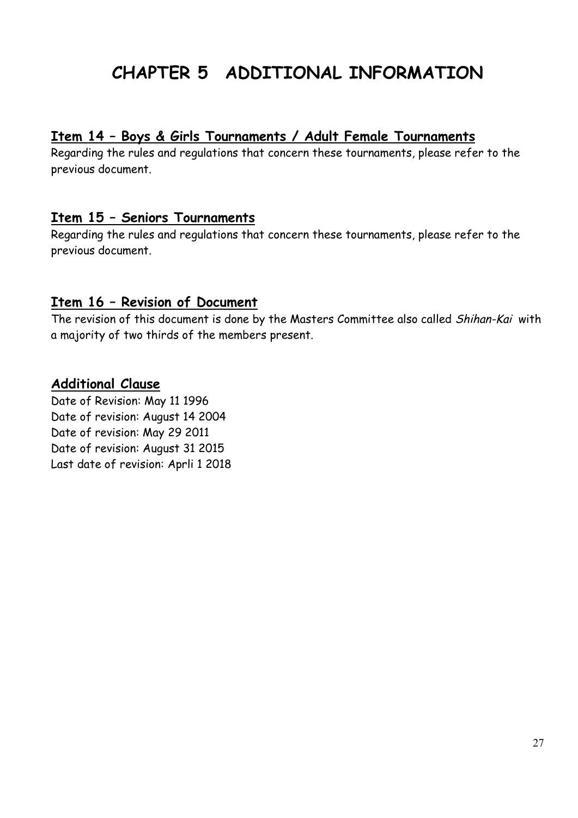## **CHAPTER 5 ADDITIONAL INFORMATION**

#### **Item 14 – Boys & Girls Tournaments / Adult Female Tournaments**

Regarding the rules and regulations that concern these tournaments, please refer to the previous document.

#### **Item 15 – Seniors Tournaments**

Regarding the rules and regulations that concern these tournaments, please refer to the previous document.

#### **Item 16 – Revision of Document**

The revision of this document is done by the Masters Committee also called Shihan-Kai with a majority of two thirds of the members present.

#### **Additional Clause**

Date of Revision: May 11 1996 Date of revision: August 14 2004 Date of revision: May 29 2011 Date of revision: August 31 2015 Last date of revision: Aprli 1 2018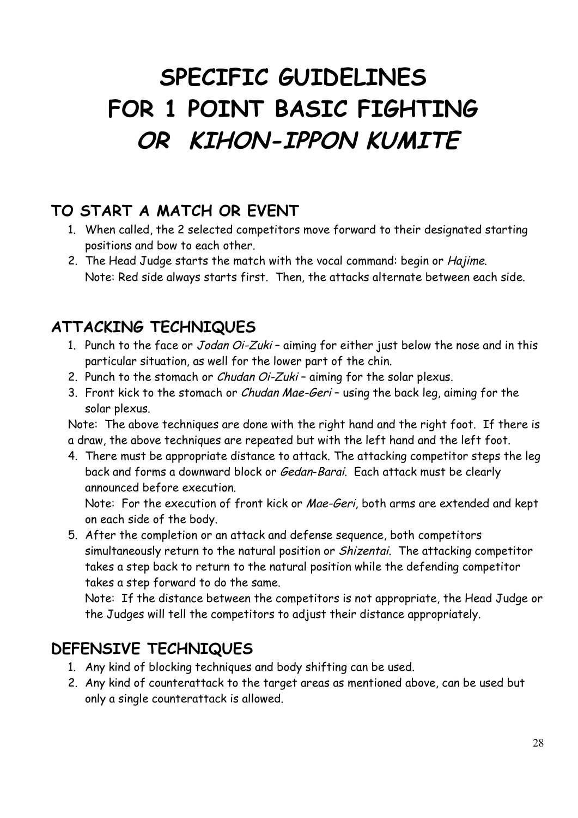# **SPECIFIC GUIDELINES FOR 1 POINT BASIC FIGHTING OR KIHON-IPPON KUMITE**

### **TO START A MATCH OR EVENT**

- 1. When called, the 2 selected competitors move forward to their designated starting positions and bow to each other.
- 2. The Head Judge starts the match with the vocal command: begin or Hajime. Note: Red side always starts first. Then, the attacks alternate between each side.

### **ATTACKING TECHNIQUES**

- 1. Punch to the face or Jodan Oi-Zuki aiming for either just below the nose and in this particular situation, as well for the lower part of the chin.
- 2. Punch to the stomach or *Chudan Oi-Zuki* aiming for the solar plexus.
- 3. Front kick to the stomach or *Chudan Mae-Geri* using the back leg, aiming for the solar plexus.

Note: The above techniques are done with the right hand and the right foot. If there is a draw, the above techniques are repeated but with the left hand and the left foot.

4. There must be appropriate distance to attack. The attacking competitor steps the leg back and forms a downward block or Gedan-Barai. Each attack must be clearly announced before execution.

Note: For the execution of front kick or Mae-Geri, both arms are extended and kept on each side of the body.

5. After the completion or an attack and defense sequence, both competitors simultaneously return to the natural position or Shizentai. The attacking competitor takes a step back to return to the natural position while the defending competitor takes a step forward to do the same.

Note: If the distance between the competitors is not appropriate, the Head Judge or the Judges will tell the competitors to adjust their distance appropriately.

### **DEFENSIVE TECHNIQUES**

- 1. Any kind of blocking techniques and body shifting can be used.
- 2. Any kind of counterattack to the target areas as mentioned above, can be used but only a single counterattack is allowed.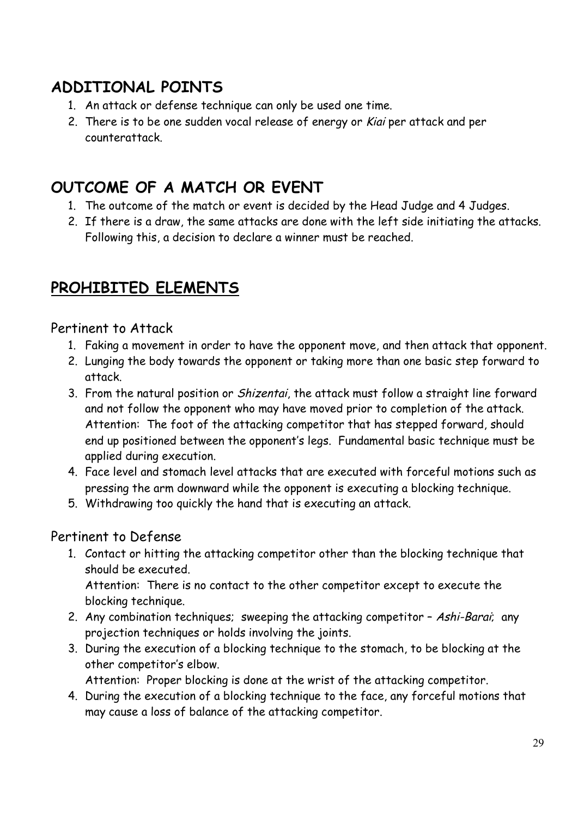### **ADDITIONAL POINTS**

- 1. An attack or defense technique can only be used one time.
- 2. There is to be one sudden vocal release of energy or Kiai per attack and per counterattack.

### **OUTCOME OF A MATCH OR EVENT**

- 1. The outcome of the match or event is decided by the Head Judge and 4 Judges.
- 2. If there is a draw, the same attacks are done with the left side initiating the attacks. Following this, a decision to declare a winner must be reached.

### **PROHIBITED ELEMENTS**

#### Pertinent to Attack

- 1. Faking a movement in order to have the opponent move, and then attack that opponent.
- 2. Lunging the body towards the opponent or taking more than one basic step forward to attack.
- 3. From the natural position or Shizentai, the attack must follow a straight line forward and not follow the opponent who may have moved prior to completion of the attack. Attention: The foot of the attacking competitor that has stepped forward, should end up positioned between the opponent's legs. Fundamental basic technique must be applied during execution.
- 4. Face level and stomach level attacks that are executed with forceful motions such as pressing the arm downward while the opponent is executing a blocking technique.
- 5. Withdrawing too quickly the hand that is executing an attack.

#### Pertinent to Defense

1. Contact or hitting the attacking competitor other than the blocking technique that should be executed.

Attention: There is no contact to the other competitor except to execute the blocking technique.

- 2. Any combination techniques; sweeping the attacking competitor Ashi-Barai; any projection techniques or holds involving the joints.
- 3. During the execution of a blocking technique to the stomach, to be blocking at the other competitor's elbow.

Attention: Proper blocking is done at the wrist of the attacking competitor.

4. During the execution of a blocking technique to the face, any forceful motions that may cause a loss of balance of the attacking competitor.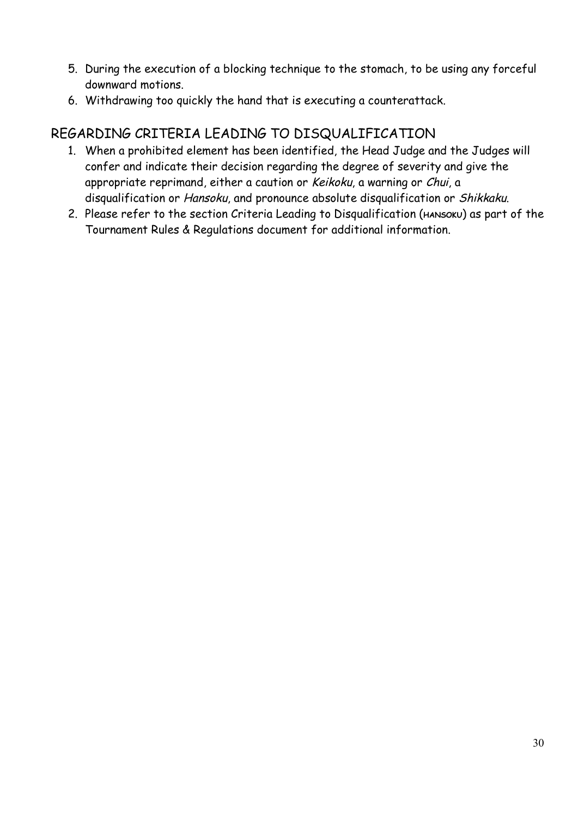- 5. During the execution of a blocking technique to the stomach, to be using any forceful downward motions.
- 6. Withdrawing too quickly the hand that is executing a counterattack.

#### REGARDING CRITERIA LEADING TO DISQUALIFICATION

- 1. When a prohibited element has been identified, the Head Judge and the Judges will confer and indicate their decision regarding the degree of severity and give the appropriate reprimand, either a caution or Keikoku, a warning or Chui, a disqualification or Hansoku, and pronounce absolute disqualification or Shikkaku.
- 2. Please refer to the section Criteria Leading to Disqualification (**HANSOKU**) as part of the Tournament Rules & Regulations document for additional information.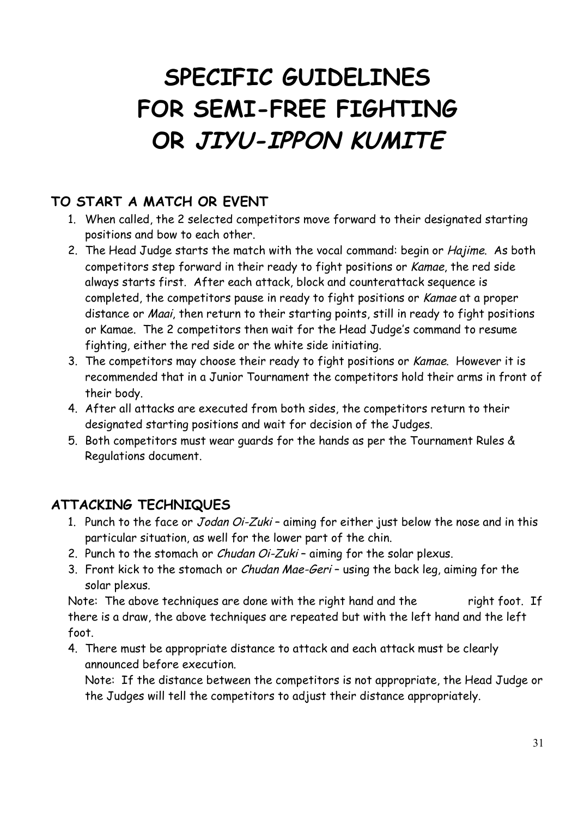# **SPECIFIC GUIDELINES FOR SEMI-FREE FIGHTING OR JIYU-IPPON KUMITE**

#### **TO START A MATCH OR EVENT**

- 1. When called, the 2 selected competitors move forward to their designated starting positions and bow to each other.
- 2. The Head Judge starts the match with the vocal command: begin or Hajime. As both competitors step forward in their ready to fight positions or Kamae, the red side always starts first. After each attack, block and counterattack sequence is completed, the competitors pause in ready to fight positions or Kamae at a proper distance or Maai, then return to their starting points, still in ready to fight positions or Kamae. The 2 competitors then wait for the Head Judge's command to resume fighting, either the red side or the white side initiating.
- 3. The competitors may choose their ready to fight positions or Kamae. However it is recommended that in a Junior Tournament the competitors hold their arms in front of their body.
- 4. After all attacks are executed from both sides, the competitors return to their designated starting positions and wait for decision of the Judges.
- 5. Both competitors must wear guards for the hands as per the Tournament Rules & Regulations document.

#### **ATTACKING TECHNIQUES**

- 1. Punch to the face or Jodan Oi-Zuki aiming for either just below the nose and in this particular situation, as well for the lower part of the chin.
- 2. Punch to the stomach or *Chudan Oi-Zuki* aiming for the solar plexus.
- 3. Front kick to the stomach or Chudan Mae-Geri using the back leg, aiming for the solar plexus.

Note: The above techniques are done with the right hand and the right foot. If there is a draw, the above techniques are repeated but with the left hand and the left foot.

4. There must be appropriate distance to attack and each attack must be clearly announced before execution.

Note: If the distance between the competitors is not appropriate, the Head Judge or the Judges will tell the competitors to adjust their distance appropriately.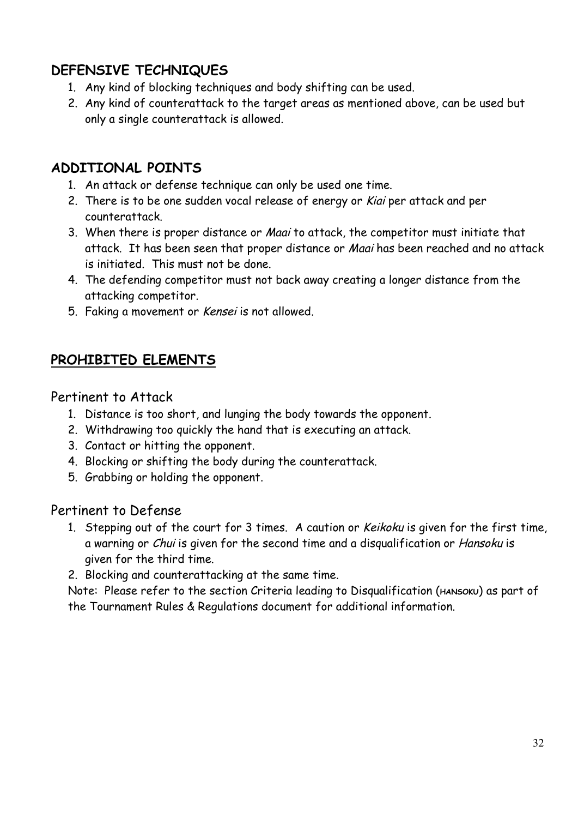#### **DEFENSIVE TECHNIQUES**

- 1. Any kind of blocking techniques and body shifting can be used.
- 2. Any kind of counterattack to the target areas as mentioned above, can be used but only a single counterattack is allowed.

#### **ADDITIONAL POINTS**

- 1. An attack or defense technique can only be used one time.
- 2. There is to be one sudden vocal release of energy or Kiai per attack and per counterattack.
- 3. When there is proper distance or Maai to attack, the competitor must initiate that attack. It has been seen that proper distance or Maai has been reached and no attack is initiated. This must not be done.
- 4. The defending competitor must not back away creating a longer distance from the attacking competitor.
- 5. Faking a movement or Kensei is not allowed.

#### **PROHIBITED ELEMENTS**

#### Pertinent to Attack

- 1. Distance is too short, and lunging the body towards the opponent.
- 2. Withdrawing too quickly the hand that is executing an attack.
- 3. Contact or hitting the opponent.
- 4. Blocking or shifting the body during the counterattack.
- 5. Grabbing or holding the opponent.

#### Pertinent to Defense

- 1. Stepping out of the court for 3 times. A caution or Keikoku is given for the first time, a warning or Chui is given for the second time and a disqualification or Hansoku is given for the third time.
- 2. Blocking and counterattacking at the same time.

Note: Please refer to the section Criteria leading to Disqualification (HANSOKU) as part of the Tournament Rules & Regulations document for additional information.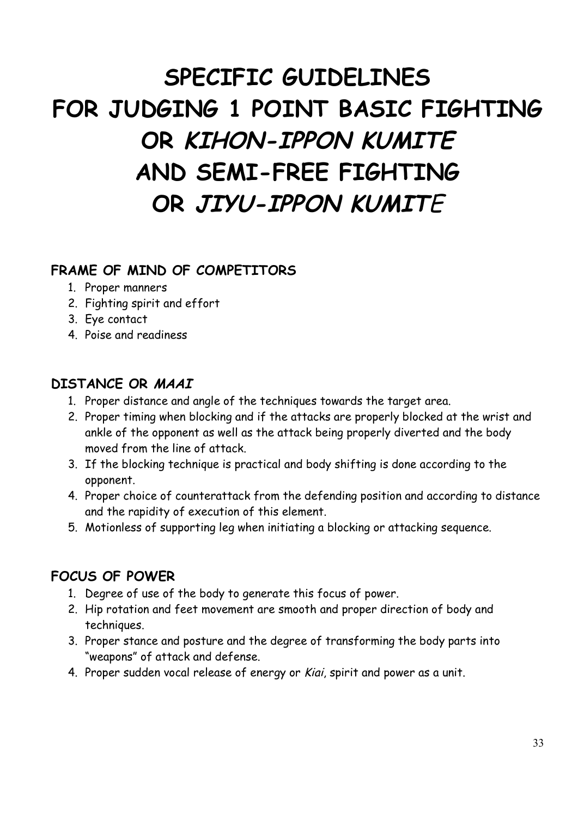# **SPECIFIC GUIDELINES FOR JUDGING 1 POINT BASIC FIGHTING OR KIHON-IPPON KUMITE AND SEMI-FREE FIGHTING OR JIYU-IPPON KUMIT**E

#### **FRAME OF MIND OF COMPETITORS**

- 1. Proper manners
- 2. Fighting spirit and effort
- 3. Eye contact
- 4. Poise and readiness

#### **DISTANCE OR MAAI**

- 1. Proper distance and angle of the techniques towards the target area.
- 2. Proper timing when blocking and if the attacks are properly blocked at the wrist and ankle of the opponent as well as the attack being properly diverted and the body moved from the line of attack.
- 3. If the blocking technique is practical and body shifting is done according to the opponent.
- 4. Proper choice of counterattack from the defending position and according to distance and the rapidity of execution of this element.
- 5. Motionless of supporting leg when initiating a blocking or attacking sequence.

#### **FOCUS OF POWER**

- 1. Degree of use of the body to generate this focus of power.
- 2. Hip rotation and feet movement are smooth and proper direction of body and techniques.
- 3. Proper stance and posture and the degree of transforming the body parts into "weapons" of attack and defense.
- 4. Proper sudden vocal release of energy or Kiai, spirit and power as a unit.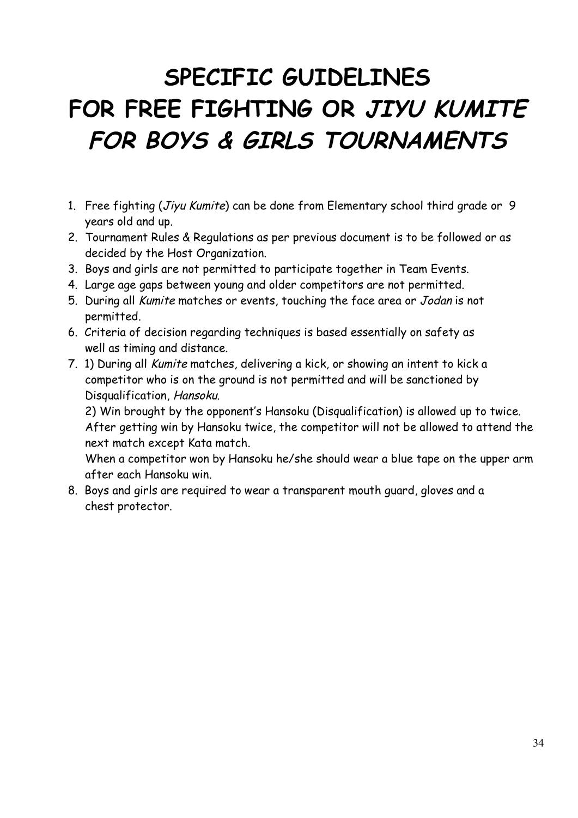# **SPECIFIC GUIDELINES FOR FREE FIGHTING OR JIYU KUMITE FOR BOYS & GIRLS TOURNAMENTS**

- 1. Free fighting (Jiyu Kumite) can be done from Elementary school third grade or 9 years old and up.
- 2. Tournament Rules & Regulations as per previous document is to be followed or as decided by the Host Organization.
- 3. Boys and girls are not permitted to participate together in Team Events.
- 4. Large age gaps between young and older competitors are not permitted.
- 5. During all Kumite matches or events, touching the face area or Jodan is not permitted.
- 6. Criteria of decision regarding techniques is based essentially on safety as well as timing and distance.
- 7. 1) During all Kumite matches, delivering a kick, or showing an intent to kick a competitor who is on the ground is not permitted and will be sanctioned by Disqualification, Hansoku.

2) Win brought by the opponent's Hansoku (Disqualification) is allowed up to twice. After getting win by Hansoku twice, the competitor will not be allowed to attend the next match except Kata match.

When a competitor won by Hansoku he/she should wear a blue tape on the upper arm after each Hansoku win.

8. Boys and girls are required to wear a transparent mouth guard, gloves and a chest protector.